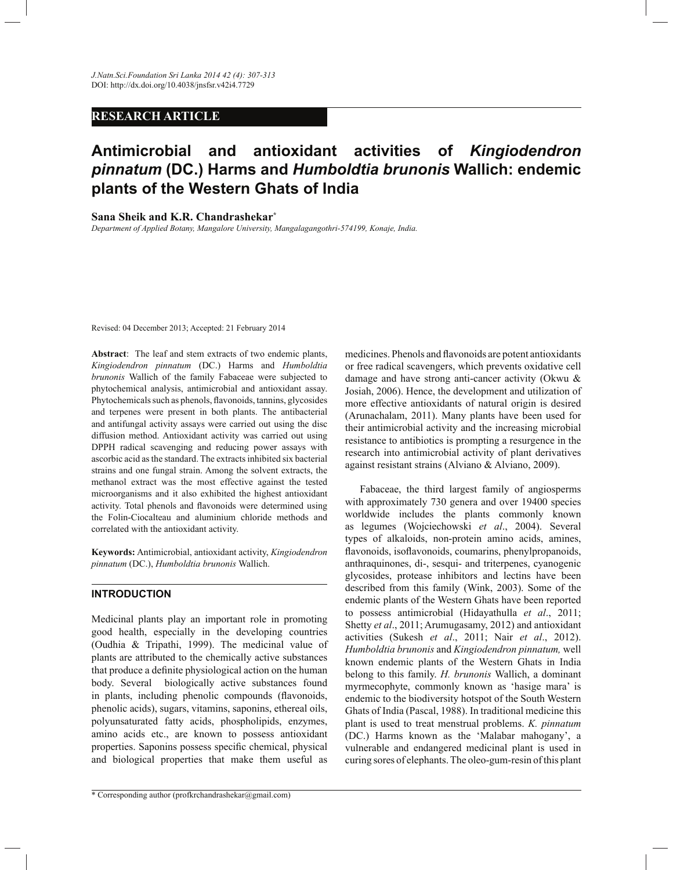# **RESEARCH ARTICLE**

# **Antimicrobial and antioxidant activities of** *Kingiodendron pinnatum* **(DC.) Harms and** *Humboldtia brunonis* **Wallich: endemic plants of the Western Ghats of India**

#### **Sana Sheik and K.R. Chandrashekar\***

*Department of Applied Botany, Mangalore University, Mangalagangothri-574199, Konaje, India.* 

Revised: 04 December 2013; Accepted: 21 February 2014

**Abstract**: The leaf and stem extracts of two endemic plants, *Kingiodendron pinnatum* (DC.) Harms and *Humboldtia brunonis* Wallich of the family Fabaceae were subjected to phytochemical analysis, antimicrobial and antioxidant assay. Phytochemicals such as phenols, flavonoids, tannins, glycosides and terpenes were present in both plants. The antibacterial and antifungal activity assays were carried out using the disc diffusion method. Antioxidant activity was carried out using DPPH radical scavenging and reducing power assays with ascorbic acid as the standard. The extracts inhibited six bacterial strains and one fungal strain. Among the solvent extracts, the methanol extract was the most effective against the tested microorganisms and it also exhibited the highest antioxidant activity. Total phenols and flavonoids were determined using the Folin-Ciocalteau and aluminium chloride methods and correlated with the antioxidant activity.

**Keywords:** Antimicrobial, antioxidant activity, *Kingiodendron pinnatum* (DC.), *Humboldtia brunonis* Wallich.

# **INTRODUCTION**

Medicinal plants play an important role in promoting good health, especially in the developing countries (Oudhia & Tripathi, 1999). The medicinal value of plants are attributed to the chemically active substances that produce a definite physiological action on the human body. Several biologically active substances found in plants, including phenolic compounds (flavonoids, phenolic acids), sugars, vitamins, saponins, ethereal oils, polyunsaturated fatty acids, phospholipids, enzymes, amino acids etc., are known to possess antioxidant properties. Saponins possess specific chemical, physical and biological properties that make them useful as

\* Corresponding author (profkrchandrashekar@gmail.com)

medicines. Phenols and flavonoids are potent antioxidants or free radical scavengers, which prevents oxidative cell damage and have strong anti-cancer activity (Okwu & Josiah, 2006). Hence, the development and utilization of more effective antioxidants of natural origin is desired (Arunachalam, 2011). Many plants have been used for their antimicrobial activity and the increasing microbial resistance to antibiotics is prompting a resurgence in the research into antimicrobial activity of plant derivatives against resistant strains (Alviano & Alviano, 2009).

 Fabaceae, the third largest family of angiosperms with approximately 730 genera and over 19400 species worldwide includes the plants commonly known as legumes (Wojciechowski *et al*., 2004). Several types of alkaloids, non-protein amino acids, amines, flavonoids, isoflavonoids, coumarins, phenylpropanoids, anthraquinones, di-, sesqui- and triterpenes, cyanogenic glycosides, protease inhibitors and lectins have been described from this family (Wink, 2003). Some of the endemic plants of the Western Ghats have been reported to possess antimicrobial (Hidayathulla *et al*., 2011; Shetty *et al*., 2011; Arumugasamy, 2012) and antioxidant activities (Sukesh *et al*., 2011; Nair *et al*., 2012). *Humboldtia brunonis* and *Kingiodendron pinnatum,* well known endemic plants of the Western Ghats in India belong to this family. *H. brunonis* Wallich, a dominant myrmecophyte, commonly known as 'hasige mara' is endemic to the biodiversity hotspot of the South Western Ghats of India (Pascal, 1988). In traditional medicine this plant is used to treat menstrual problems. *K. pinnatum*  (DC.) Harms known as the 'Malabar mahogany', a vulnerable and endangered medicinal plant is used in curing sores of elephants. The oleo-gum-resin of this plant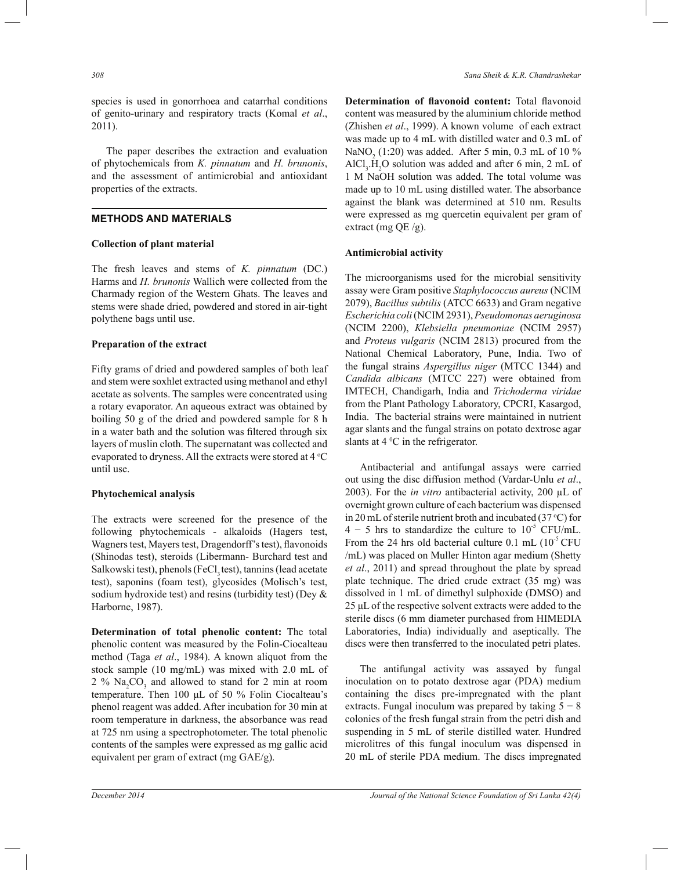species is used in gonorrhoea and catarrhal conditions of genito-urinary and respiratory tracts (Komal *et al*., 2011).

 The paper describes the extraction and evaluation of phytochemicals from *K. pinnatum* and *H. brunonis*, and the assessment of antimicrobial and antioxidant properties of the extracts.

# **METHODS AND MATERIALS**

# **Collection of plant material**

The fresh leaves and stems of *K. pinnatum* (DC.) Harms and *H. brunonis* Wallich were collected from the Charmady region of the Western Ghats. The leaves and stems were shade dried, powdered and stored in air-tight polythene bags until use.

# **Preparation of the extract**

Fifty grams of dried and powdered samples of both leaf and stem were soxhlet extracted using methanol and ethyl acetate as solvents. The samples were concentrated using a rotary evaporator. An aqueous extract was obtained by boiling 50 g of the dried and powdered sample for 8 h in a water bath and the solution was filtered through six layers of muslin cloth. The supernatant was collected and evaporated to dryness. All the extracts were stored at  $4^{\circ}C$ until use.

# **Phytochemical analysis**

The extracts were screened for the presence of the following phytochemicals - alkaloids (Hagers test, Wagners test, Mayers test, Dragendorff's test), flavonoids (Shinodas test), steroids (Libermann- Burchard test and Salkowski test), phenols (FeCl, test), tannins (lead acetate test), saponins (foam test), glycosides (Molisch's test, sodium hydroxide test) and resins (turbidity test) (Dey & Harborne, 1987).

**Determination of total phenolic content:** The total phenolic content was measured by the Folin-Ciocalteau method (Taga *et al*., 1984). A known aliquot from the stock sample (10 mg/mL) was mixed with 2.0 mL of  $2\%$  Na<sub>2</sub>CO<sub>3</sub> and allowed to stand for 2 min at room temperature. Then 100 μL of 50 % Folin Ciocalteau's phenol reagent was added. After incubation for 30 min at room temperature in darkness, the absorbance was read at 725 nm using a spectrophotometer. The total phenolic contents of the samples were expressed as mg gallic acid equivalent per gram of extract (mg GAE/g).

**Determination of flavonoid content:** Total flavonoid content was measured by the aluminium chloride method (Zhishen *et al*., 1999). A known volume of each extract was made up to 4 mL with distilled water and 0.3 mL of NaNO<sub>2</sub> (1:20) was added. After 5 min, 0.3 mL of 10 %  $AICI<sub>3</sub>$ .H<sub>2</sub>O solution was added and after 6 min, 2 mL of 1 M NaOH solution was added. The total volume was made up to 10 mL using distilled water. The absorbance against the blank was determined at 510 nm. Results were expressed as mg quercetin equivalent per gram of extract (mg QE /g).

#### **Antimicrobial activity**

The microorganisms used for the microbial sensitivity assay were Gram positive *Staphylococcus aureus* (NCIM 2079), *Bacillus subtilis* (ATCC 6633) and Gram negative *Escherichia coli* (NCIM 2931), *Pseudomonas aeruginosa*  (NCIM 2200), *Klebsiella pneumoniae* (NCIM 2957) and *Proteus vulgaris* (NCIM 2813) procured from the National Chemical Laboratory, Pune, India. Two of the fungal strains *Aspergillus niger* (MTCC 1344) and *Candida albicans* (MTCC 227) were obtained from IMTECH, Chandigarh, India and *Trichoderma viridae* from the Plant Pathology Laboratory, CPCRI, Kasargod, India. The bacterial strains were maintained in nutrient agar slants and the fungal strains on potato dextrose agar slants at  $4^{\circ}$ C in the refrigerator.

 Antibacterial and antifungal assays were carried out using the disc diffusion method (Vardar-Unlu *et al*., 2003). For the *in vitro* antibacterial activity, 200 µL of overnight grown culture of each bacterium was dispensed in 20 mL of sterile nutrient broth and incubated (37  $^{\circ}$ C) for  $4 - 5$  hrs to standardize the culture to  $10^{-5}$  CFU/mL. From the 24 hrs old bacterial culture 0.1 mL  $(10^5$  CFU /mL) was placed on Muller Hinton agar medium (Shetty *et al*., 2011) and spread throughout the plate by spread plate technique. The dried crude extract (35 mg) was dissolved in 1 mL of dimethyl sulphoxide (DMSO) and 25 μL of the respective solvent extracts were added to the sterile discs (6 mm diameter purchased from HIMEDIA Laboratories, India) individually and aseptically. The discs were then transferred to the inoculated petri plates.

 The antifungal activity was assayed by fungal inoculation on to potato dextrose agar (PDA) medium containing the discs pre-impregnated with the plant extracts. Fungal inoculum was prepared by taking  $5 - 8$ colonies of the fresh fungal strain from the petri dish and suspending in 5 mL of sterile distilled water. Hundred microlitres of this fungal inoculum was dispensed in 20 mL of sterile PDA medium. The discs impregnated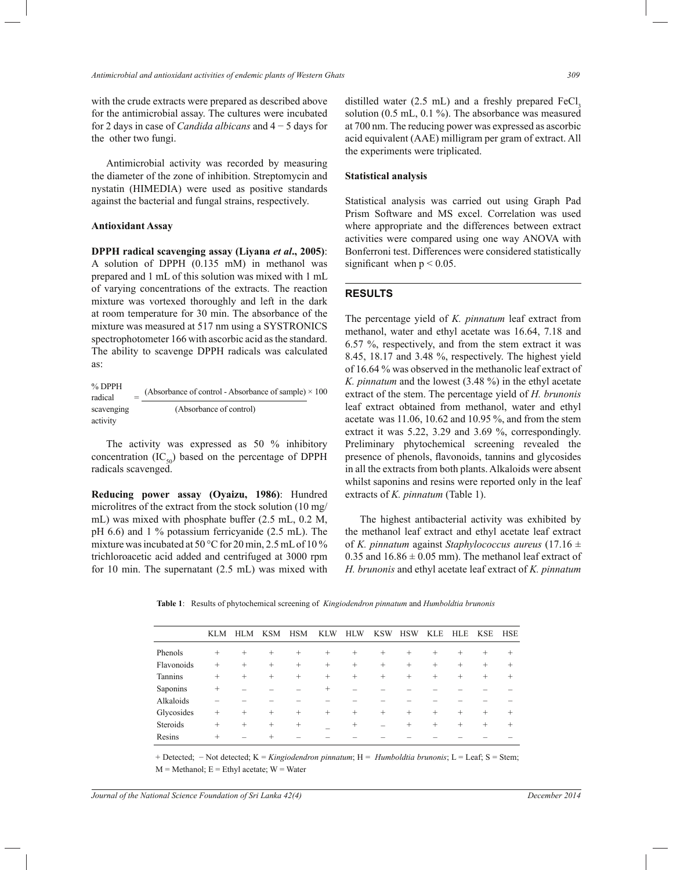with the crude extracts were prepared as described above for the antimicrobial assay. The cultures were incubated for 2 days in case of *Candida albicans* and 4 − 5 days for the other two fungi.

 Antimicrobial activity was recorded by measuring the diameter of the zone of inhibition. Streptomycin and nystatin (HIMEDIA) were used as positive standards against the bacterial and fungal strains, respectively.

#### **Antioxidant Assay**

**DPPH radical scavenging assay (Liyana** *et al***., 2005)**: A solution of DPPH (0.135 mM) in methanol was prepared and 1 mL of this solution was mixed with 1 mL of varying concentrations of the extracts. The reaction mixture was vortexed thoroughly and left in the dark at room temperature for 30 min. The absorbance of the mixture was measured at 517 nm using a SYSTRONICS spectrophotometer 166 with ascorbic acid as the standard. The ability to scavenge DPPH radicals was calculated as:

| % DPPH     | (Absorbance of control - Absorbance of sample) $\times$ 100 |
|------------|-------------------------------------------------------------|
| radical    |                                                             |
| scavenging | (Absorbance of control)                                     |
| activity   |                                                             |

 The activity was expressed as 50 % inhibitory concentration  $(IC_{50})$  based on the percentage of DPPH radicals scavenged.

**Reducing power assay (Oyaizu, 1986)**: Hundred microlitres of the extract from the stock solution (10 mg/ mL) was mixed with phosphate buffer (2.5 mL, 0.2 M, pH 6.6) and 1 % potassium ferricyanide (2.5 mL). The mixture was incubated at 50 °C for 20 min, 2.5 mL of 10 % trichloroacetic acid added and centrifuged at 3000 rpm for 10 min. The supernatant (2.5 mL) was mixed with

distilled water  $(2.5 \text{ mL})$  and a freshly prepared FeCl, solution (0.5 mL, 0.1 %). The absorbance was measured at 700 nm. The reducing power was expressed as ascorbic acid equivalent (AAE) milligram per gram of extract. All the experiments were triplicated.

#### **Statistical analysis**

Statistical analysis was carried out using Graph Pad Prism Software and MS excel. Correlation was used where appropriate and the differences between extract activities were compared using one way ANOVA with Bonferroni test. Differences were considered statistically significant when  $p < 0.05$ .

#### **RESULTS**

The percentage yield of *K. pinnatum* leaf extract from methanol, water and ethyl acetate was 16.64, 7.18 and 6.57 %, respectively, and from the stem extract it was 8.45, 18.17 and 3.48 %, respectively. The highest yield of 16.64 % was observed in the methanolic leaf extract of *K. pinnatum* and the lowest (3.48 %) in the ethyl acetate extract of the stem. The percentage yield of *H. brunonis* leaf extract obtained from methanol, water and ethyl acetate was 11.06, 10.62 and 10.95 %, and from the stem extract it was 5.22, 3.29 and 3.69 %, correspondingly. Preliminary phytochemical screening revealed the presence of phenols, flavonoids, tannins and glycosides in all the extracts from both plants. Alkaloids were absent whilst saponins and resins were reported only in the leaf extracts of *K. pinnatum* (Table 1).

 The highest antibacterial activity was exhibited by the methanol leaf extract and ethyl acetate leaf extract of *K. pinnatum* against *Staphylococcus aureus* (17.16 ± 0.35 and  $16.86 \pm 0.05$  mm). The methanol leaf extract of *H. brunonis* and ethyl acetate leaf extract of *K. pinnatum*

**Table 1**: Results of phytochemical screening of *Kingiodendron pinnatum* and *Humboldtia brunonis* 

|            | <b>KLM</b> | <b>HLM</b> | <b>KSM</b> | <b>HSM</b> | <b>KLW</b> | <b>HLW</b> | <b>KSW</b> | <b>HSW</b> | <b>KLE</b> | <b>HLE</b> | <b>KSE</b> | <b>HSE</b> |
|------------|------------|------------|------------|------------|------------|------------|------------|------------|------------|------------|------------|------------|
| Phenols    | $^{+}$     | $^{+}$     | $^{+}$     | $^{+}$     | $^{+}$     | $^{+}$     | $^{+}$     | $^{+}$     | $^{+}$     | $^{+}$     | $^{+}$     |            |
| Flavonoids | $^{+}$     | $^{+}$     | $^{+}$     | $^{+}$     | $^{+}$     | $^{+}$     | $^{+}$     | $^{+}$     | $^{+}$     | $^{+}$     | $^{+}$     | $^{+}$     |
| Tannins    | $^{+}$     | $^{+}$     | $^{+}$     | $^{+}$     | $^{+}$     | $^{+}$     | $^{+}$     | $^{+}$     | $^{+}$     | $^{+}$     | $^{+}$     | $^+$       |
| Saponins   | $^{+}$     |            |            |            | $\pm$      |            |            |            |            |            |            |            |
| Alkaloids  |            |            |            |            |            |            |            |            |            |            |            |            |
| Glycosides | $^{+}$     | $^{+}$     | $^{+}$     | $^{+}$     | $^{+}$     | $^{+}$     | $^{+}$     | $^{+}$     | $^{+}$     | $^{+}$     | $^{+}$     | $^+$       |
| Steroids   | $^{+}$     | $^{+}$     | $^{+}$     | $^{+}$     |            | $^{+}$     |            | $^{+}$     | $^{+}$     | $^{+}$     | $^{+}$     | $^+$       |
| Resins     | $^{+}$     |            |            |            |            |            |            |            |            |            |            |            |
|            |            |            |            |            |            |            |            |            |            |            |            |            |

+ Detected; \_ Not detected; K = *Kingiodendron pinnatum*; H = *Humboldtia brunonis*; L = Leaf; S = Stem;  $M =$ Methanol;  $E =$ Ethyl acetate;  $W =$ Water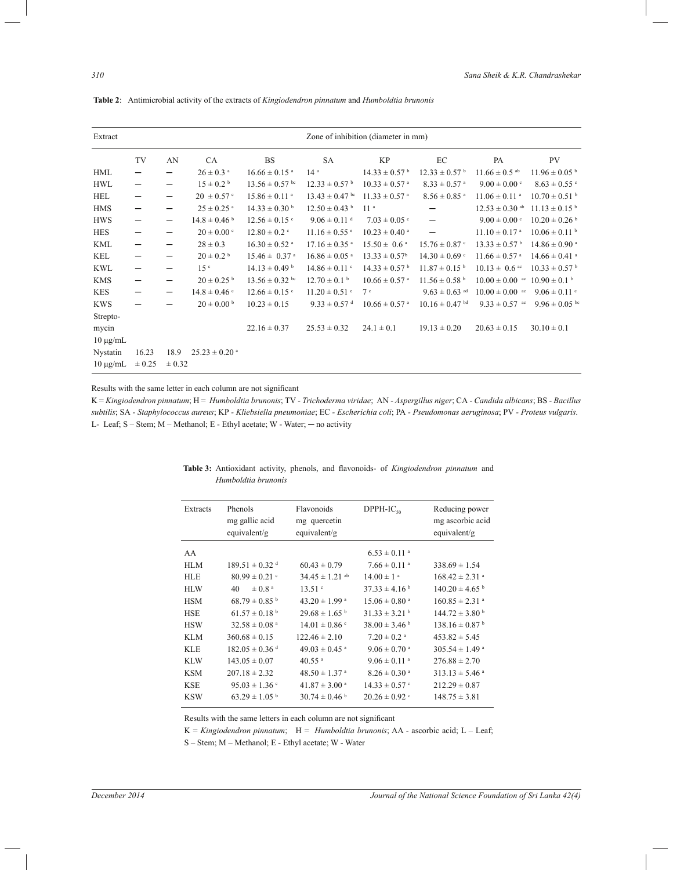| Extract       |                          | Zone of inhibition (diameter in mm) |                               |                               |                               |                               |                               |                                       |                               |  |  |  |
|---------------|--------------------------|-------------------------------------|-------------------------------|-------------------------------|-------------------------------|-------------------------------|-------------------------------|---------------------------------------|-------------------------------|--|--|--|
|               | TV                       | AN                                  | CA                            | <b>BS</b>                     | <b>SA</b>                     | <b>KP</b>                     | EC                            | PA                                    | PV                            |  |  |  |
| HML           | —                        | -                                   | $26 \pm 0.3$ <sup>a</sup>     | $16.66 \pm 0.15$ <sup>a</sup> | 14 <sup>a</sup>               | $14.33 \pm 0.57$ <sup>b</sup> | $12.33 \pm 0.57$ <sup>b</sup> | $11.66 \pm 0.5$ <sup>ab</sup>         | $11.96 \pm 0.05$ <sup>b</sup> |  |  |  |
| <b>HWL</b>    | —                        | -                                   | $15 \pm 0.2^{\circ}$          | $13.56 \pm 0.57$ bc           | $12.33 \pm 0.57$ <sup>b</sup> | $10.33 \pm 0.57$ <sup>a</sup> | $8.33 \pm 0.57$ <sup>a</sup>  | $9.00 \pm 0.00$                       | $8.63 \pm 0.55$               |  |  |  |
| HEL           | —                        | -                                   | $20 \pm 0.57$ °               | $15.86 \pm 0.11$ <sup>a</sup> | $13.43 \pm 0.47$ bc           | $11.33 \pm 0.57$ <sup>a</sup> | $8.56 \pm 0.85$ <sup>a</sup>  | $11.06 \pm 0.11$ <sup>a</sup>         | $10.70 \pm 0.51$ <sup>b</sup> |  |  |  |
| <b>HMS</b>    | $\qquad \qquad -$        | -                                   | $25 \pm 0.25$ <sup>a</sup>    | $14.33 \pm 0.30^{\mathrm{b}}$ | $12.50 \pm 0.43$ <sup>b</sup> | 11 <sup>a</sup>               |                               | $12.53 \pm 0.30$ ab                   | $11.13 \pm 0.15^{\circ}$      |  |  |  |
| <b>HWS</b>    | -                        | -                                   | $14.8 \pm 0.46$ <sup>b</sup>  | $12.56 \pm 0.15$ °            | $9.06 \pm 0.11$ <sup>d</sup>  | $7.03 \pm 0.05$ c             | $\overline{\phantom{0}}$      | $9.00 \pm 0.00$ c                     | $10.20 \pm 0.26$ <sup>b</sup> |  |  |  |
| <b>HES</b>    | —                        |                                     | $20 \pm 0.00$ c               | $12.80 \pm 0.2$ °             | $11.16 \pm 0.55$ °            | $10.23 \pm 0.40$ <sup>a</sup> | $\overline{\phantom{0}}$      | $11.10 \pm 0.17$ <sup>a</sup>         | $10.06 \pm 0.11$ <sup>b</sup> |  |  |  |
| <b>KML</b>    | —                        | -                                   | $28 \pm 0.3$                  | $16.30 \pm 0.52$ <sup>a</sup> | $17.16 \pm 0.35$ <sup>a</sup> | $15.50 \pm 0.6^{\text{ a}}$   | $15.76 \pm 0.87$ c            | $13.33 \pm 0.57$ <sup>b</sup>         | $14.86 \pm 0.90$ <sup>a</sup> |  |  |  |
| KEL           |                          |                                     | $20 \pm 0.2^{\circ}$          | $15.46 \pm 0.37$ <sup>a</sup> | $16.86 \pm 0.05$ <sup>a</sup> | $13.33 \pm 0.57^{\rm b}$      | $14.30 \pm 0.69$ °            | $11.66 \pm 0.57$ <sup>a</sup>         | $14.66 \pm 0.41$ <sup>a</sup> |  |  |  |
| <b>KWL</b>    | -                        | —                                   | 15 <sup>c</sup>               | $14.13 \pm 0.49$ <sup>b</sup> | $14.86 \pm 0.11$ c            | $14.33 \pm 0.57$ <sup>b</sup> | $11.87 \pm 0.15$ <sup>b</sup> | $10.13 \pm 0.6$ ac                    | $10.33 \pm 0.57$ <sup>b</sup> |  |  |  |
| <b>KMS</b>    | $\overline{\phantom{m}}$ | -                                   | $20 \pm 0.25$ b               | $13.56 \pm 0.32$ bc           | $12.70 \pm 0.1$ b             | $10.66 \pm 0.57$ <sup>a</sup> | $11.56 \pm 0.58$ <sup>b</sup> | $10.00 \pm 0.00$ ac $10.90 \pm 0.1$ b |                               |  |  |  |
| <b>KES</b>    | -                        |                                     | $14.8 \pm 0.46$ c             | $12.66 \pm 0.15$ °            | $11.20 \pm 0.51$ °            | 7c                            | $9.63 \pm 0.63$ ad            | $10.00 \pm 0.00$ <sup>ac</sup>        | $9.06 \pm 0.11$ c             |  |  |  |
| <b>KWS</b>    |                          |                                     | $20 \pm 0.00^{\mathrm{b}}$    | $10.23 \pm 0.15$              | $9.33 \pm 0.57$ <sup>d</sup>  | $10.66 \pm 0.57$ <sup>a</sup> | $10.16 \pm 0.47$ bd           | $9.33 \pm 0.57$ ac                    | $9.96 \pm 0.05$ bc            |  |  |  |
| Strepto-      |                          |                                     |                               |                               |                               |                               |                               |                                       |                               |  |  |  |
| mycin         |                          |                                     |                               | $22.16 \pm 0.37$              | $25.53 \pm 0.32$              | $24.1 \pm 0.1$                | $19.13 \pm 0.20$              | $20.63 \pm 0.15$                      | $30.10 \pm 0.1$               |  |  |  |
| $10 \mu g/mL$ |                          |                                     |                               |                               |                               |                               |                               |                                       |                               |  |  |  |
| Nystatin      | 16.23                    | 18.9                                | $25.23 \pm 0.20$ <sup>a</sup> |                               |                               |                               |                               |                                       |                               |  |  |  |
| $10 \mu g/mL$ | ± 0.25                   | ± 0.32                              |                               |                               |                               |                               |                               |                                       |                               |  |  |  |

**Table 2**: Antimicrobial activity of the extracts of *Kingiodendron pinnatum* and *Humboldtia brunonis* 

Results with the same letter in each column are not significant

K = *Kingiodendron pinnatum*; H = *Humboldtia brunonis*; TV - Trichoderma viridae; AN - Aspergillus niger; CA - Candida albicans; BS - Bacillus *subtilis*; SA *- Staphylococcus aureus*; KP *- Kliebsiella pneumoniae*; EC *- Escherichia coli*; PA *- Pseudomonas aeruginosa*; PV *- Proteus vulgaris.*  L- Leaf; S – Stem; M – Methanol; E - Ethyl acetate; W - Water; — no activity

| Extracts   | Phenols<br>mg gallic acid<br>equivalent/g | Flavonoids<br>mg quercetin<br>equivalent/g | $DPPH-IC_{50}$                | Reducing power<br>mg ascorbic acid<br>equivalent/g |
|------------|-------------------------------------------|--------------------------------------------|-------------------------------|----------------------------------------------------|
| AA         |                                           |                                            | $6.53 \pm 0.11$ <sup>a</sup>  |                                                    |
| <b>HLM</b> | $189.51 \pm 0.32$ <sup>d</sup>            | $60.43 \pm 0.79$                           | $7.66 \pm 0.11$ <sup>a</sup>  | $338.69 \pm 1.54$                                  |
| <b>HLE</b> | $80.99 \pm 0.21$ c                        | $34.45 \pm 1.21$ <sup>ab</sup>             | $14.00 \pm 1$ <sup>a</sup>    | $168.42 \pm 2.31$ <sup>a</sup>                     |
| <b>HLW</b> | $\pm$ 0.8 <sup>a</sup><br>40              | 13.51 <sup>c</sup>                         | $37.33 \pm 4.16^{\circ}$      | $140.20 \pm 4.65$ <sup>b</sup>                     |
| <b>HSM</b> | $68.79 \pm 0.85$ <sup>b</sup>             | $43.20 \pm 1.99$ <sup>a</sup>              | $15.06 \pm 0.80$ <sup>a</sup> | $160.85 \pm 2.31$ <sup>a</sup>                     |
| <b>HSE</b> | $61.57 \pm 0.18$ <sup>b</sup>             | $29.68 \pm 1.65$ <sup>b</sup>              | $31.33 \pm 3.21$ <sup>b</sup> | $144.72 \pm 3.80^{\mathrm{b}}$                     |
| <b>HSW</b> | $32.58 \pm 0.08$ <sup>a</sup>             | $14.01 \pm 0.86$                           | $38.00 \pm 3.46$              | $138.16 \pm 0.87$ <sup>b</sup>                     |
| <b>KLM</b> | $360.68 \pm 0.15$                         | $122.46 \pm 2.10$                          | $7.20 \pm 0.2$ <sup>a</sup>   | $453.82 \pm 5.45$                                  |
| <b>KLE</b> | $182.05 \pm 0.36$ <sup>d</sup>            | $49.03 \pm 0.45$ <sup>a</sup>              | $9.06 \pm 0.70$ <sup>a</sup>  | $305.54 \pm 1.49$ <sup>a</sup>                     |
| <b>KLW</b> | $143.05 \pm 0.07$                         | $40.55$ <sup>a</sup>                       | $9.06 \pm 0.11$ <sup>a</sup>  | $276.88 \pm 2.70$                                  |
| <b>KSM</b> | $207.18 \pm 2.32$                         | $48.50 \pm 1.37$ <sup>a</sup>              | $8.26 \pm 0.30$ <sup>a</sup>  | $313.13 \pm 5.46$ <sup>a</sup>                     |
| <b>KSE</b> | $95.03 \pm 1.36$ °                        | $41.87 \pm 3.00$ <sup>a</sup>              | $14.33 \pm 0.57$ c            | $212.29 \pm 0.87$                                  |
| <b>KSW</b> | $63.29 \pm 1.05^{\mathrm{b}}$             | $30.74 \pm 0.46$ <sup>b</sup>              | $20.26 \pm 0.92$ <sup>c</sup> | $148.75 \pm 3.81$                                  |

**Table 3:** Antioxidant activity, phenols, and flavonoids- of *Kingiodendron pinnatum* and *Humboldtia brunonis* 

Results with the same letters in each column are not significant

K = *Kingiodendron pinnatum*;H = *Humboldtia brunonis*; AA - ascorbic acid; L – Leaf;

S – Stem; M – Methanol; E - Ethyl acetate; W - Water

Ï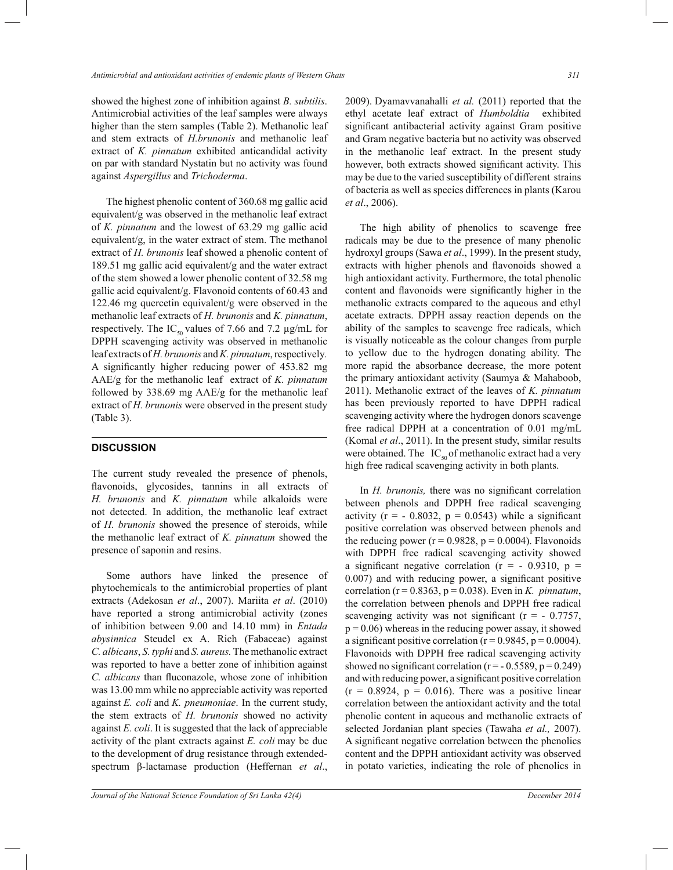showed the highest zone of inhibition against *B. subtilis*. Antimicrobial activities of the leaf samples were always higher than the stem samples (Table 2). Methanolic leaf and stem extracts of *H.brunonis* and methanolic leaf extract of *K. pinnatum* exhibited anticandidal activity on par with standard Nystatin but no activity was found against *Aspergillus* and *Trichoderma*.

 The highest phenolic content of 360.68 mg gallic acid equivalent/g was observed in the methanolic leaf extract of *K. pinnatum* and the lowest of 63.29 mg gallic acid equivalent/g, in the water extract of stem. The methanol extract of *H. brunonis* leaf showed a phenolic content of 189.51 mg gallic acid equivalent/g and the water extract of the stem showed a lower phenolic content of 32.58 mg gallic acid equivalent/g. Flavonoid contents of 60.43 and 122.46 mg quercetin equivalent/g were observed in the methanolic leaf extracts of *H. brunonis* and *K. pinnatum*, respectively. The IC<sub>50</sub> values of 7.66 and 7.2  $\mu$ g/mL for DPPH scavenging activity was observed in methanolic leaf extracts of *H. brunonis* and *K. pinnatum*, respectively*.*  A significantly higher reducing power of 453.82 mg AAE/g for the methanolic leaf extract of *K. pinnatum* followed by 338.69 mg AAE/g for the methanolic leaf extract of *H. brunonis* were observed in the present study (Table 3).

## **DISCUSSION**

The current study revealed the presence of phenols, flavonoids, glycosides, tannins in all extracts of *H. brunonis* and *K. pinnatum* while alkaloids were not detected. In addition, the methanolic leaf extract of *H. brunonis* showed the presence of steroids, while the methanolic leaf extract of *K. pinnatum* showed the presence of saponin and resins.

 Some authors have linked the presence of phytochemicals to the antimicrobial properties of plant extracts (Adekosan *et al*., 2007). Mariita *et al*. (2010) have reported a strong antimicrobial activity (zones of inhibition between 9.00 and 14.10 mm) in *Entada abysinnica* Steudel ex A. Rich (Fabaceae) against *C. albicans*, *S. typhi* and *S. aureus.* The methanolic extract was reported to have a better zone of inhibition against *C. albicans* than fluconazole, whose zone of inhibition was 13.00 mm while no appreciable activity was reported against *E. coli* and *K. pneumoniae*. In the current study, the stem extracts of *H. brunonis* showed no activity against *E. coli*. It is suggested that the lack of appreciable activity of the plant extracts against *E. coli* may be due to the development of drug resistance through extendedspectrum β-lactamase production (Heffernan *et al*.,

2009). Dyamavvanahalli *et al.* (2011) reported that the ethyl acetate leaf extract of *Humboldtia* exhibited significant antibacterial activity against Gram positive and Gram negative bacteria but no activity was observed in the methanolic leaf extract. In the present study however, both extracts showed significant activity. This may be due to the varied susceptibility of different strains of bacteria as well as species differences in plants (Karou *et al*., 2006).

 The high ability of phenolics to scavenge free radicals may be due to the presence of many phenolic hydroxyl groups (Sawa *et al*., 1999). In the present study, extracts with higher phenols and flavonoids showed a high antioxidant activity. Furthermore, the total phenolic content and flavonoids were significantly higher in the methanolic extracts compared to the aqueous and ethyl acetate extracts. DPPH assay reaction depends on the ability of the samples to scavenge free radicals, which is visually noticeable as the colour changes from purple to yellow due to the hydrogen donating ability. The more rapid the absorbance decrease, the more potent the primary antioxidant activity (Saumya & Mahaboob, 2011). Methanolic extract of the leaves of *K. pinnatum*  has been previously reported to have DPPH radical scavenging activity where the hydrogen donors scavenge free radical DPPH at a concentration of 0.01 mg/mL (Komal *et al*., 2011). In the present study, similar results were obtained. The  $IC_{50}$  of methanolic extract had a very high free radical scavenging activity in both plants.

 In *H. brunonis,* there was no significant correlation between phenols and DPPH free radical scavenging activity ( $r = -0.8032$ ,  $p = 0.0543$ ) while a significant positive correlation was observed between phenols and the reducing power ( $r = 0.9828$ ,  $p = 0.0004$ ). Flavonoids with DPPH free radical scavenging activity showed a significant negative correlation ( $r = -0.9310$ ,  $p =$ 0.007) and with reducing power, a significant positive correlation ( $r = 0.8363$ ,  $p = 0.038$ ). Even in *K. pinnatum*, the correlation between phenols and DPPH free radical scavenging activity was not significant ( $r = -0.7757$ ,  $p = 0.06$ ) whereas in the reducing power assay, it showed a significant positive correlation ( $r = 0.9845$ ,  $p = 0.0004$ ). Flavonoids with DPPH free radical scavenging activity showed no significant correlation  $(r = -0.5589, p = 0.249)$ and with reducing power, a significant positive correlation  $(r = 0.8924, p = 0.016)$ . There was a positive linear correlation between the antioxidant activity and the total phenolic content in aqueous and methanolic extracts of selected Jordanian plant species (Tawaha *et al.,* 2007). A significant negative correlation between the phenolics content and the DPPH antioxidant activity was observed in potato varieties, indicating the role of phenolics in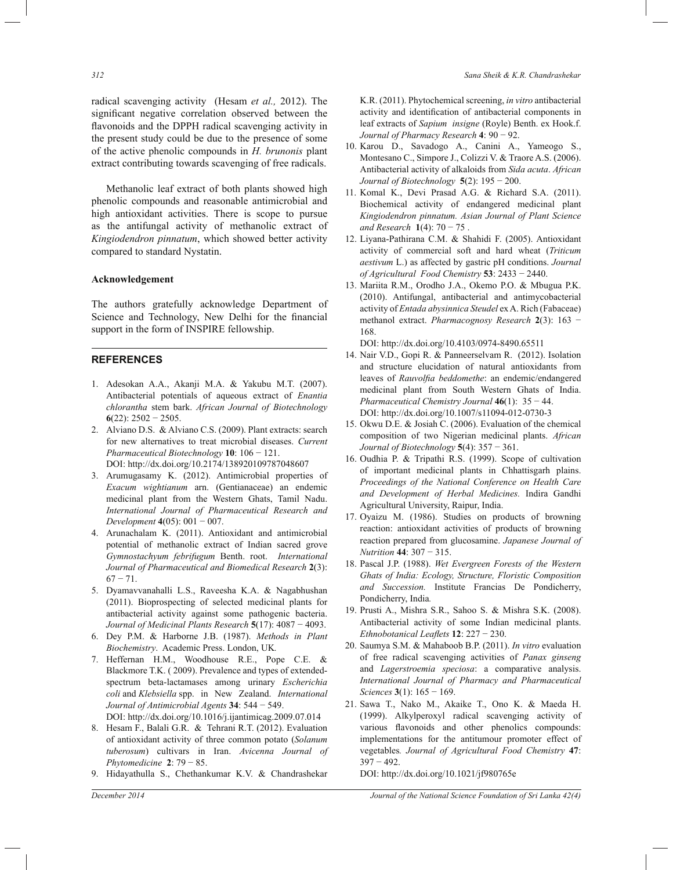radical scavenging activity (Hesam *et al.,* 2012). The significant negative correlation observed between the flavonoids and the DPPH radical scavenging activity in the present study could be due to the presence of some of the active phenolic compounds in *H. brunonis* plant extract contributing towards scavenging of free radicals.

 Methanolic leaf extract of both plants showed high phenolic compounds and reasonable antimicrobial and high antioxidant activities. There is scope to pursue as the antifungal activity of methanolic extract of *Kingiodendron pinnatum*, which showed better activity compared to standard Nystatin.

### **Acknowledgement**

The authors gratefully acknowledge Department of Science and Technology, New Delhi for the financial support in the form of INSPIRE fellowship.

#### **REFERENCES**

- 1. Adesokan A.A., Akanji M.A. & Yakubu M.T. (2007). Antibacterial potentials of aqueous extract of *Enantia chlorantha* stem bark. *African Journal of Biotechnology* **6**(22): 2502 − 2505.
- 2. Alviano D.S. & Alviano C.S. (2009). Plant extracts: search for new alternatives to treat microbial diseases. *Current Pharmaceutical Biotechnology* **10**: 106 − 121. DOI: http://dx.doi.org/10.2174/138920109787048607
- 3. Arumugasamy K. (2012). Antimicrobial properties of *Exacum wightianum* arn. (Gentianaceae) an endemic medicinal plant from the Western Ghats, Tamil Nadu. *International Journal of Pharmaceutical Research and Development* **4**(05): 001 − 007.
- 4. Arunachalam K. (2011). Antioxidant and antimicrobial potential of methanolic extract of Indian sacred grove *Gymnostachyum febrifugum* Benth. root. *International Journal of Pharmaceutical and Biomedical Research* **2**(3):  $67 - 71.$
- 5. Dyamavvanahalli L.S., Raveesha K.A. & Nagabhushan (2011). Bioprospecting of selected medicinal plants for antibacterial activity against some pathogenic bacteria. *Journal of Medicinal Plants Research* **5**(17): 4087 − 4093.
- 6. Dey P.M. & Harborne J.B. (1987). *Methods in Plant Biochemistry*. Academic Press. London, UK*.*
- 7. Heffernan H.M., Woodhouse R.E., Pope C.E. & Blackmore T.K. ( 2009). Prevalence and types of extendedspectrum beta-lactamases among urinary *Escherichia coli* and *Klebsiella* spp. in New Zealand. *International Journal of Antimicrobial Agents* **34**: 544 − 549. DOI: http://dx.doi.org/10.1016/j.ijantimicag.2009.07.014

8. Hesam F., Balali G.R. & Tehrani R.T. (2012). Evaluation of antioxidant activity of three common potato (*Solanum tuberosum*) cultivars in Iran. *Avicenna Journal of Phytomedicine* **2**: 79 − 85.

9. Hidayathulla S., Chethankumar K.V. & Chandrashekar

K.R. (2011). Phytochemical screening, *in vitro* antibacterial activity and identification of antibacterial components in leaf extracts of *Sapium insigne* (Royle) Benth. ex Hook.f. *Journal of Pharmacy Research* **4**: 90 − 92.

- 10. Karou D., Savadogo A., Canini A., Yameogo S., Montesano C., Simpore J., Colizzi V. & Traore A.S. (2006). Antibacterial activity of alkaloids from *Sida acuta*. *African Journal of Biotechnology* **5**(2): 195 − 200.
- 11. Komal K., Devi Prasad A.G. & Richard S.A. (2011). Biochemical activity of endangered medicinal plant *Kingiodendron pinnatum. Asian Journal of Plant Science and Research* **1**(4): 70 − 75 .
- 12. Liyana-Pathirana C.M. & Shahidi F. (2005). Antioxidant activity of commercial soft and hard wheat (*Triticum aestivum* L.) as affected by gastric pH conditions. *Journal of Agricultural Food Chemistry* **53**: 2433 − 2440.
- 13. Mariita R.M., Orodho J.A., Okemo P.O. & Mbugua P.K. (2010). Antifungal, antibacterial and antimycobacterial activity of *Entada abysinnica Steudel* ex A. Rich (Fabaceae) methanol extract. *Pharmacognosy Research* **2**(3): 163 − 168.

DOI: http://dx.doi.org/10.4103/0974-8490.65511

- 14. Nair V.D., Gopi R. & Panneerselvam R. (2012). Isolation and structure elucidation of natural antioxidants from leaves of *Rauvolfia beddomethe*: an endemic/endangered medicinal plant from South Western Ghats of India. *Pharmaceutical Chemistry Journal* **46**(1): 35 − 44. DOI: http://dx.doi.org/10.1007/s11094-012-0730-3
- 15. Okwu D.E. & Josiah C. (2006). Evaluation of the chemical composition of two Nigerian medicinal plants. *African Journal of Biotechnology* **5**(4): 357 − 361.
- 16. Oudhia P. & Tripathi R.S. (1999). Scope of cultivation of important medicinal plants in Chhattisgarh plains. *Proceedings of the National Conference on Health Care and Development of Herbal Medicines.* Indira Gandhi Agricultural University, Raipur, India.
- 17. Oyaizu M. (1986). Studies on products of browning reaction: antioxidant activities of products of browning reaction prepared from glucosamine. *Japanese Journal of Nutrition* **44**: 307 − 315.
- 18. Pascal J.P. (1988). *Wet Evergreen Forests of the Western Ghats of India: Ecology, Structure, Floristic Composition and Succession.* Institute Francias De Pondicherry, Pondicherry, India*.*
- 19. Prusti A., Mishra S.R., Sahoo S. & Mishra S.K. (2008). Antibacterial activity of some Indian medicinal plants. *Ethnobotanical Leaflets* **12**: 227 − 230.
- 20. Saumya S.M. & Mahaboob B.P. (2011). *In vitro* evaluation of free radical scavenging activities of *Panax ginseng* and *Lagerstroemia speciosa*: a comparative analysis. *International Journal of Pharmacy and Pharmaceutical Sciences* **3**(1): 165 − 169.
- 21. Sawa T., Nako M., Akaike T., Ono K. & Maeda H. (1999). Alkylperoxyl radical scavenging activity of various flavonoids and other phenolics compounds: implementations for the antitumour promoter effect of vegetables*. Journal of Agricultural Food Chemistry* **47**: 397 − 492.

DOI: http://dx.doi.org/10.1021/jf980765e